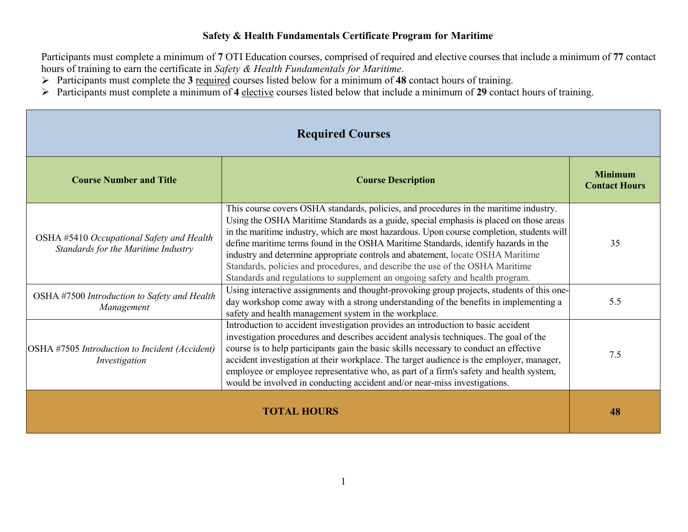## **Safety & Health Fundamentals Certificate Program for Maritime**

Participants must complete a minimum of **7** OTI Education courses, comprised of required and elective courses that include a minimum of **77** contact hours of training to earn the certificate in *Safety & Health Fundamentals for Maritime*.

- Participants must complete the **3** required courses listed below for a minimum of **48** contact hours of training.
- Participants must complete a minimum of **4** elective courses listed below that include a minimum of **29** contact hours of training.

| <b>Required Courses</b>                                                          |                                                                                                                                                                                                                                                                                                                                                                                                                                                                                                                                                                                                                           |                                        |
|----------------------------------------------------------------------------------|---------------------------------------------------------------------------------------------------------------------------------------------------------------------------------------------------------------------------------------------------------------------------------------------------------------------------------------------------------------------------------------------------------------------------------------------------------------------------------------------------------------------------------------------------------------------------------------------------------------------------|----------------------------------------|
| <b>Course Number and Title</b>                                                   | <b>Course Description</b>                                                                                                                                                                                                                                                                                                                                                                                                                                                                                                                                                                                                 | <b>Minimum</b><br><b>Contact Hours</b> |
| OSHA #5410 Occupational Safety and Health<br>Standards for the Maritime Industry | This course covers OSHA standards, policies, and procedures in the maritime industry.<br>Using the OSHA Maritime Standards as a guide, special emphasis is placed on those areas<br>in the maritime industry, which are most hazardous. Upon course completion, students will<br>define maritime terms found in the OSHA Maritime Standards, identify hazards in the<br>industry and determine appropriate controls and abatement, locate OSHA Maritime<br>Standards, policies and procedures, and describe the use of the OSHA Maritime<br>Standards and regulations to supplement an ongoing safety and health program. | 35                                     |
| OSHA #7500 Introduction to Safety and Health<br>Management                       | Using interactive assignments and thought-provoking group projects, students of this one-<br>day workshop come away with a strong understanding of the benefits in implementing a<br>safety and health management system in the workplace.                                                                                                                                                                                                                                                                                                                                                                                | 5.5                                    |
| OSHA #7505 Introduction to Incident (Accident)<br>Investigation                  | Introduction to accident investigation provides an introduction to basic accident<br>investigation procedures and describes accident analysis techniques. The goal of the<br>course is to help participants gain the basic skills necessary to conduct an effective<br>accident investigation at their workplace. The target audience is the employer, manager,<br>employee or employee representative who, as part of a firm's safety and health system,<br>would be involved in conducting accident and/or near-miss investigations.                                                                                    | 7.5                                    |
| <b>TOTAL HOURS</b>                                                               |                                                                                                                                                                                                                                                                                                                                                                                                                                                                                                                                                                                                                           | 48                                     |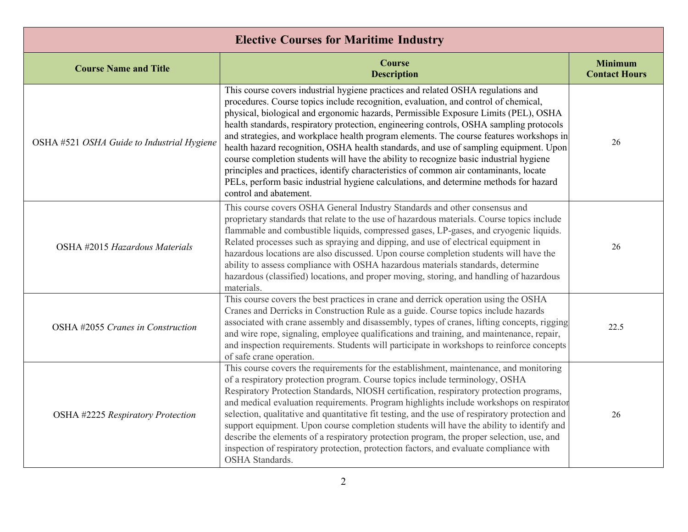| <b>Elective Courses for Maritime Industry</b> |                                                                                                                                                                                                                                                                                                                                                                                                                                                                                                                                                                                                                                                                                                                                                                                                                                                     |                                        |
|-----------------------------------------------|-----------------------------------------------------------------------------------------------------------------------------------------------------------------------------------------------------------------------------------------------------------------------------------------------------------------------------------------------------------------------------------------------------------------------------------------------------------------------------------------------------------------------------------------------------------------------------------------------------------------------------------------------------------------------------------------------------------------------------------------------------------------------------------------------------------------------------------------------------|----------------------------------------|
| <b>Course Name and Title</b>                  | <b>Course</b><br><b>Description</b>                                                                                                                                                                                                                                                                                                                                                                                                                                                                                                                                                                                                                                                                                                                                                                                                                 | <b>Minimum</b><br><b>Contact Hours</b> |
| OSHA #521 OSHA Guide to Industrial Hygiene    | This course covers industrial hygiene practices and related OSHA regulations and<br>procedures. Course topics include recognition, evaluation, and control of chemical,<br>physical, biological and ergonomic hazards, Permissible Exposure Limits (PEL), OSHA<br>health standards, respiratory protection, engineering controls, OSHA sampling protocols<br>and strategies, and workplace health program elements. The course features workshops in<br>health hazard recognition, OSHA health standards, and use of sampling equipment. Upon<br>course completion students will have the ability to recognize basic industrial hygiene<br>principles and practices, identify characteristics of common air contaminants, locate<br>PELs, perform basic industrial hygiene calculations, and determine methods for hazard<br>control and abatement. | 26                                     |
| OSHA #2015 Hazardous Materials                | This course covers OSHA General Industry Standards and other consensus and<br>proprietary standards that relate to the use of hazardous materials. Course topics include<br>flammable and combustible liquids, compressed gases, LP-gases, and cryogenic liquids.<br>Related processes such as spraying and dipping, and use of electrical equipment in<br>hazardous locations are also discussed. Upon course completion students will have the<br>ability to assess compliance with OSHA hazardous materials standards, determine<br>hazardous (classified) locations, and proper moving, storing, and handling of hazardous<br>materials.                                                                                                                                                                                                        | 26                                     |
| OSHA #2055 Cranes in Construction             | This course covers the best practices in crane and derrick operation using the OSHA<br>Cranes and Derricks in Construction Rule as a guide. Course topics include hazards<br>associated with crane assembly and disassembly, types of cranes, lifting concepts, rigging<br>and wire rope, signaling, employee qualifications and training, and maintenance, repair,<br>and inspection requirements. Students will participate in workshops to reinforce concepts<br>of safe crane operation.                                                                                                                                                                                                                                                                                                                                                        | 22.5                                   |
| OSHA #2225 Respiratory Protection             | This course covers the requirements for the establishment, maintenance, and monitoring<br>of a respiratory protection program. Course topics include terminology, OSHA<br>Respiratory Protection Standards, NIOSH certification, respiratory protection programs,<br>and medical evaluation requirements. Program highlights include workshops on respirator<br>selection, qualitative and quantitative fit testing, and the use of respiratory protection and<br>support equipment. Upon course completion students will have the ability to identify and<br>describe the elements of a respiratory protection program, the proper selection, use, and<br>inspection of respiratory protection, protection factors, and evaluate compliance with<br>OSHA Standards.                                                                                | 26                                     |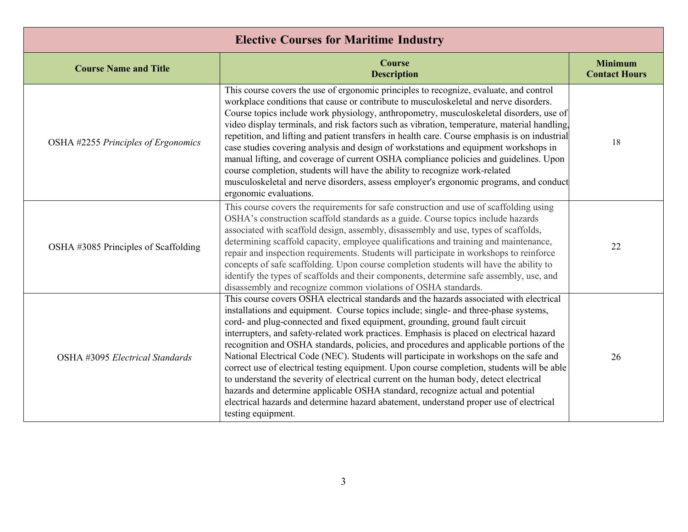| <b>Elective Courses for Maritime Industry</b> |                                                                                                                                                                                                                                                                                                                                                                                                                                                                                                                                                                                                                                                                                                                                                                                                                                                                                                                                            |                                        |
|-----------------------------------------------|--------------------------------------------------------------------------------------------------------------------------------------------------------------------------------------------------------------------------------------------------------------------------------------------------------------------------------------------------------------------------------------------------------------------------------------------------------------------------------------------------------------------------------------------------------------------------------------------------------------------------------------------------------------------------------------------------------------------------------------------------------------------------------------------------------------------------------------------------------------------------------------------------------------------------------------------|----------------------------------------|
| <b>Course Name and Title</b>                  | <b>Course</b><br><b>Description</b>                                                                                                                                                                                                                                                                                                                                                                                                                                                                                                                                                                                                                                                                                                                                                                                                                                                                                                        | <b>Minimum</b><br><b>Contact Hours</b> |
| OSHA #2255 Principles of Ergonomics           | This course covers the use of ergonomic principles to recognize, evaluate, and control<br>workplace conditions that cause or contribute to musculoskeletal and nerve disorders.<br>Course topics include work physiology, anthropometry, musculoskeletal disorders, use of<br>video display terminals, and risk factors such as vibration, temperature, material handling,<br>repetition, and lifting and patient transfers in health care. Course emphasis is on industrial<br>case studies covering analysis and design of workstations and equipment workshops in<br>manual lifting, and coverage of current OSHA compliance policies and guidelines. Upon<br>course completion, students will have the ability to recognize work-related<br>musculoskeletal and nerve disorders, assess employer's ergonomic programs, and conduct<br>ergonomic evaluations.                                                                           | 18                                     |
| OSHA #3085 Principles of Scaffolding          | This course covers the requirements for safe construction and use of scaffolding using<br>OSHA's construction scaffold standards as a guide. Course topics include hazards<br>associated with scaffold design, assembly, disassembly and use, types of scaffolds,<br>determining scaffold capacity, employee qualifications and training and maintenance,<br>repair and inspection requirements. Students will participate in workshops to reinforce<br>concepts of safe scaffolding. Upon course completion students will have the ability to<br>identify the types of scaffolds and their components, determine safe assembly, use, and<br>disassembly and recognize common violations of OSHA standards.                                                                                                                                                                                                                                | 22                                     |
| OSHA #3095 Electrical Standards               | This course covers OSHA electrical standards and the hazards associated with electrical<br>installations and equipment. Course topics include; single- and three-phase systems,<br>cord- and plug-connected and fixed equipment, grounding, ground fault circuit<br>interrupters, and safety-related work practices. Emphasis is placed on electrical hazard<br>recognition and OSHA standards, policies, and procedures and applicable portions of the<br>National Electrical Code (NEC). Students will participate in workshops on the safe and<br>correct use of electrical testing equipment. Upon course completion, students will be able<br>to understand the severity of electrical current on the human body, detect electrical<br>hazards and determine applicable OSHA standard, recognize actual and potential<br>electrical hazards and determine hazard abatement, understand proper use of electrical<br>testing equipment. | 26                                     |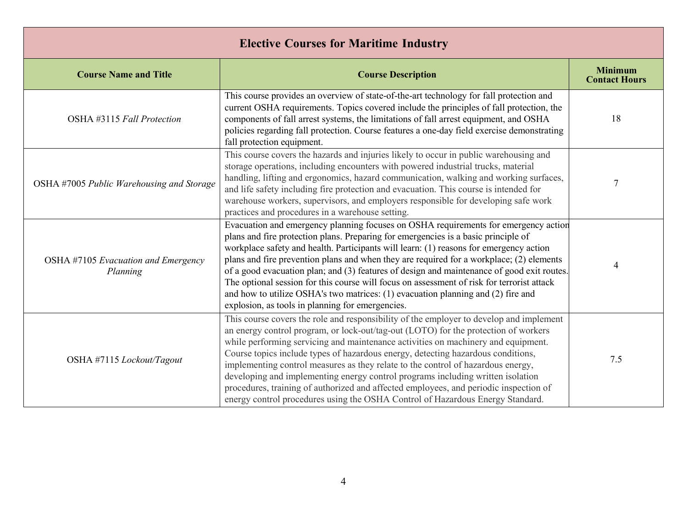| <b>Elective Courses for Maritime Industry</b>   |                                                                                                                                                                                                                                                                                                                                                                                                                                                                                                                                                                                                                                                                                                           |                                        |
|-------------------------------------------------|-----------------------------------------------------------------------------------------------------------------------------------------------------------------------------------------------------------------------------------------------------------------------------------------------------------------------------------------------------------------------------------------------------------------------------------------------------------------------------------------------------------------------------------------------------------------------------------------------------------------------------------------------------------------------------------------------------------|----------------------------------------|
| <b>Course Name and Title</b>                    | <b>Course Description</b>                                                                                                                                                                                                                                                                                                                                                                                                                                                                                                                                                                                                                                                                                 | <b>Minimum</b><br><b>Contact Hours</b> |
| OSHA #3115 Fall Protection                      | This course provides an overview of state-of-the-art technology for fall protection and<br>current OSHA requirements. Topics covered include the principles of fall protection, the<br>components of fall arrest systems, the limitations of fall arrest equipment, and OSHA<br>policies regarding fall protection. Course features a one-day field exercise demonstrating<br>fall protection equipment.                                                                                                                                                                                                                                                                                                  | 18                                     |
| OSHA #7005 Public Warehousing and Storage       | This course covers the hazards and injuries likely to occur in public warehousing and<br>storage operations, including encounters with powered industrial trucks, material<br>handling, lifting and ergonomics, hazard communication, walking and working surfaces,<br>and life safety including fire protection and evacuation. This course is intended for<br>warehouse workers, supervisors, and employers responsible for developing safe work<br>practices and procedures in a warehouse setting.                                                                                                                                                                                                    | 7                                      |
| OSHA #7105 Evacuation and Emergency<br>Planning | Evacuation and emergency planning focuses on OSHA requirements for emergency action<br>plans and fire protection plans. Preparing for emergencies is a basic principle of<br>workplace safety and health. Participants will learn: (1) reasons for emergency action<br>plans and fire prevention plans and when they are required for a workplace; (2) elements<br>of a good evacuation plan; and (3) features of design and maintenance of good exit routes.<br>The optional session for this course will focus on assessment of risk for terrorist attack<br>and how to utilize OSHA's two matrices: (1) evacuation planning and (2) fire and<br>explosion, as tools in planning for emergencies.       | 4                                      |
| OSHA #7115 Lockout/Tagout                       | This course covers the role and responsibility of the employer to develop and implement<br>an energy control program, or lock-out/tag-out (LOTO) for the protection of workers<br>while performing servicing and maintenance activities on machinery and equipment.<br>Course topics include types of hazardous energy, detecting hazardous conditions,<br>implementing control measures as they relate to the control of hazardous energy,<br>developing and implementing energy control programs including written isolation<br>procedures, training of authorized and affected employees, and periodic inspection of<br>energy control procedures using the OSHA Control of Hazardous Energy Standard. | 7.5                                    |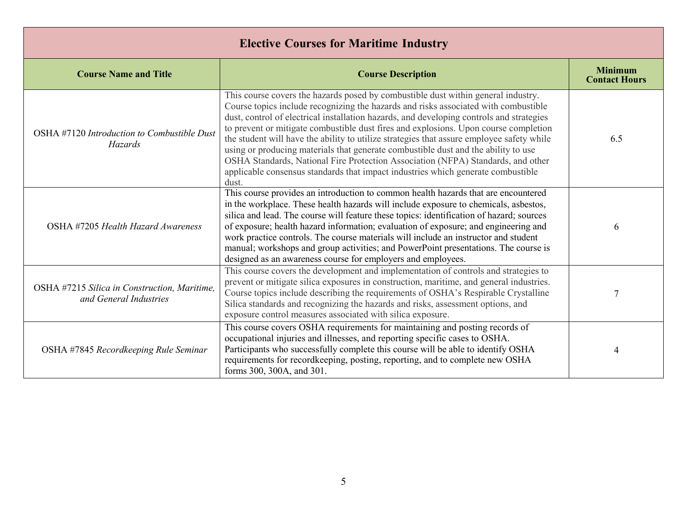| <b>Elective Courses for Maritime Industry</b>                          |                                                                                                                                                                                                                                                                                                                                                                                                                                                                                                                                                                                                                                                                                                                                  |                                        |
|------------------------------------------------------------------------|----------------------------------------------------------------------------------------------------------------------------------------------------------------------------------------------------------------------------------------------------------------------------------------------------------------------------------------------------------------------------------------------------------------------------------------------------------------------------------------------------------------------------------------------------------------------------------------------------------------------------------------------------------------------------------------------------------------------------------|----------------------------------------|
| <b>Course Name and Title</b>                                           | <b>Course Description</b>                                                                                                                                                                                                                                                                                                                                                                                                                                                                                                                                                                                                                                                                                                        | <b>Minimum</b><br><b>Contact Hours</b> |
| OSHA #7120 Introduction to Combustible Dust<br>Hazards                 | This course covers the hazards posed by combustible dust within general industry.<br>Course topics include recognizing the hazards and risks associated with combustible<br>dust, control of electrical installation hazards, and developing controls and strategies<br>to prevent or mitigate combustible dust fires and explosions. Upon course completion<br>the student will have the ability to utilize strategies that assure employee safety while<br>using or producing materials that generate combustible dust and the ability to use<br>OSHA Standards, National Fire Protection Association (NFPA) Standards, and other<br>applicable consensus standards that impact industries which generate combustible<br>dust. | 6.5                                    |
| OSHA #7205 Health Hazard Awareness                                     | This course provides an introduction to common health hazards that are encountered<br>in the workplace. These health hazards will include exposure to chemicals, asbestos,<br>silica and lead. The course will feature these topics: identification of hazard; sources<br>of exposure; health hazard information; evaluation of exposure; and engineering and<br>work practice controls. The course materials will include an instructor and student<br>manual; workshops and group activities; and PowerPoint presentations. The course is<br>designed as an awareness course for employers and employees.                                                                                                                      | 6                                      |
| OSHA #7215 Silica in Construction, Maritime,<br>and General Industries | This course covers the development and implementation of controls and strategies to<br>prevent or mitigate silica exposures in construction, maritime, and general industries.<br>Course topics include describing the requirements of OSHA's Respirable Crystalline<br>Silica standards and recognizing the hazards and risks, assessment options, and<br>exposure control measures associated with silica exposure.                                                                                                                                                                                                                                                                                                            | $\overline{7}$                         |
| OSHA #7845 Recordkeeping Rule Seminar                                  | This course covers OSHA requirements for maintaining and posting records of<br>occupational injuries and illnesses, and reporting specific cases to OSHA.<br>Participants who successfully complete this course will be able to identify OSHA<br>requirements for recordkeeping, posting, reporting, and to complete new OSHA<br>forms 300, 300A, and 301.                                                                                                                                                                                                                                                                                                                                                                       | 4                                      |